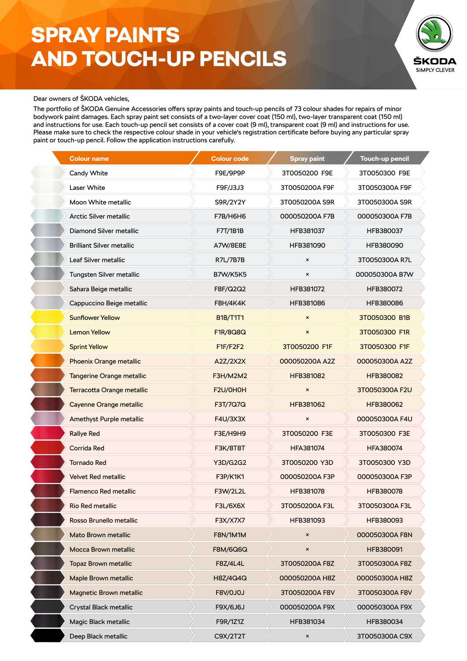## SPRAY PAINTS AND TOUCH-UP PENCILS



## Dear owners of ŠKODA vehicles,

The portfolio of ŠKODA Genuine Accessories offers spray paints and touch-up pencils of 73 colour shades for repairs of minor bodywork paint damages. Each spray paint set consists of a two-layer cover coat (150 ml), two-layer transparent coat (150 ml) and instructions for use. Each touch-up pencil set consists of a cover coat (9 ml), transparent coat (9 ml) and instructions for use. Please make sure to check the respective colour shade in your vehicle's registration certificate before buying any particular spray paint or touch-up pencil. Follow the application instructions carefully.

| <b>Colour name</b>               | <b>Colour code</b> | <b>Spray paint</b>        | <b>Touch-up pencil</b> |
|----------------------------------|--------------------|---------------------------|------------------------|
| Candy White                      | F9E/9P9P           | 3T0050200 F9E             | 3T0050300 F9E          |
| Laser White                      | F9F/J3J3           | 3T0050200A F9F            | 3T0050300A F9F         |
| Moon White metallic              | S9R/2Y2Y           | 3T0050200A S9R            | 3T0050300A S9R         |
| Arctic Silver metallic           | F7B/H6H6           | 000050200A F7B            | 000050300A F7B         |
| Diamond Silver metallic          | F7T/1B1B           | HFB381037                 | HFB380037              |
| <b>Brilliant Silver metallic</b> | A7W/8E8E           | HFB381090                 | HFB380090              |
| Leaf Silver metallic             | <b>R7L/7B7B</b>    | $\boldsymbol{\mathsf{x}}$ | 3T0050300A R7L         |
| Tungsten Silver metallic         | <b>B7W/K5K5</b>    | ×                         | 000050300A B7W         |
| Sahara Beige metallic            | F8F/Q2Q2           | HFB381072                 | HFB380072              |
| Cappuccino Beige metallic        | <b>F8H/4K4K</b>    | HFB381086                 | HFB380086              |
| <b>Sunflower Yellow</b>          | <b>B1B/T1T1</b>    | $\boldsymbol{\mathsf{x}}$ | 3T0050300 B1B          |
| <b>Lemon Yellow</b>              | F1R/8Q8Q           | $\pmb{\times}$            | 3T0050300 F1R          |
| <b>Sprint Yellow</b>             | F1F/F2F2           | 3T0050200 F1F             | 3T0050300 F1F          |
| Phoenix Orange metallic          | A2Z/2X2X           | 000050200A A2Z            | 000050300A A2Z         |
| Tangerine Orange metallic        | <b>F3H/M2M2</b>    | HFB381082                 | <b>HFB380082</b>       |
| Terracotta Orange metallic       | F2U/OHOH           | $\pmb{\times}$            | 3T0050300A F2U         |
| Cayenne Orange metallic          | F3T/7Q7Q           | HFB381062                 | HFB380062              |
| Amethyst Purple metallic         | F4U/3X3X           | $\pmb{\times}$            | 000050300A F4U         |
| <b>Rallye Red</b>                | F3E/H9H9           | 3T0050200 F3E             | 3T0050300 F3E          |
| Corrida Red                      | <b>F3K/8T8T</b>    | HFA381074                 | HFA380074              |
| <b>Tornado Red</b>               | Y3D/G2G2           | 3T0050200 Y3D             | 3T0050300 Y3D          |
| <b>Velvet Red metallic</b>       | F3P/K1K1           | 000050200A F3P            | 000050300A F3P         |
| <b>Flamenco Red metallic</b>     | F3W/2L2L           | HFB381078                 | HFB380078              |
| Rio Red metallic                 | <b>F3L/6X6X</b>    | 3T0050200A F3L            | 3T0050300A F3L         |
| Rosso Brunello metallic          | F3X/X7X7           | HFB381093                 | HFB380093              |
| Mato Brown metallic              | <b>F8N/1M1M</b>    | $\pmb{\times}$            | 000050300A F8N         |
| Mocca Brown metallic             | F8M/6Q6Q           | ×                         | HFB380091              |
| <b>Topaz Brown metallic</b>      | F8Z/4L4L           | 3T0050200A F8Z            | 3T0050300A F8Z         |
| Maple Brown metallic             | H8Z/4Q4Q           | 000050200A H8Z            | 000050300A H8Z         |
| Magnetic Brown metallic          | <b>F8V/0J0J</b>    | 3T0050200A F8V            | 3T0050300A F8V         |
| Crystal Black metallic           | F9X/6J6J           | 000050200A F9X            | 000050300A F9X         |
| Magic Black metallic             | F9R/1Z1Z           | HFB381034                 | HFB380034              |
| Deep Black metallic              | C9X/2T2T           | $\pmb{\times}$            | 3T0050300A C9X         |